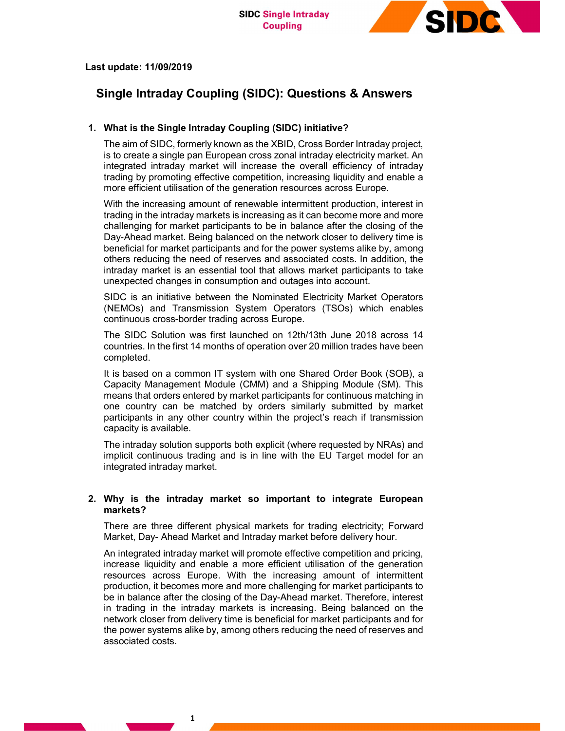

# Last update: 11/09/2019

# Single Intraday Coupling (SIDC): Questions & Answers

# 1. What is the Single Intraday Coupling (SIDC) initiative?

The aim of SIDC, formerly known as the XBID, Cross Border Intraday project, is to create a single pan European cross zonal intraday electricity market. An integrated intraday market will increase the overall efficiency of intraday trading by promoting effective competition, increasing liquidity and enable a more efficient utilisation of the generation resources across Europe.

With the increasing amount of renewable intermittent production, interest in trading in the intraday markets is increasing as it can become more and more challenging for market participants to be in balance after the closing of the Day-Ahead market. Being balanced on the network closer to delivery time is beneficial for market participants and for the power systems alike by, among others reducing the need of reserves and associated costs. In addition, the intraday market is an essential tool that allows market participants to take unexpected changes in consumption and outages into account.

SIDC is an initiative between the Nominated Electricity Market Operators (NEMOs) and Transmission System Operators (TSOs) which enables continuous cross-border trading across Europe.

The SIDC Solution was first launched on 12th/13th June 2018 across 14 countries. In the first 14 months of operation over 20 million trades have been completed.

It is based on a common IT system with one Shared Order Book (SOB), a Capacity Management Module (CMM) and a Shipping Module (SM). This means that orders entered by market participants for continuous matching in one country can be matched by orders similarly submitted by market participants in any other country within the project's reach if transmission capacity is available.

The intraday solution supports both explicit (where requested by NRAs) and implicit continuous trading and is in line with the EU Target model for an integrated intraday market.

# 2. Why is the intraday market so important to integrate European markets?

There are three different physical markets for trading electricity; Forward Market, Day- Ahead Market and Intraday market before delivery hour.

An integrated intraday market will promote effective competition and pricing, increase liquidity and enable a more efficient utilisation of the generation resources across Europe. With the increasing amount of intermittent production, it becomes more and more challenging for market participants to be in balance after the closing of the Day-Ahead market. Therefore, interest in trading in the intraday markets is increasing. Being balanced on the network closer from delivery time is beneficial for market participants and for the power systems alike by, among others reducing the need of reserves and associated costs.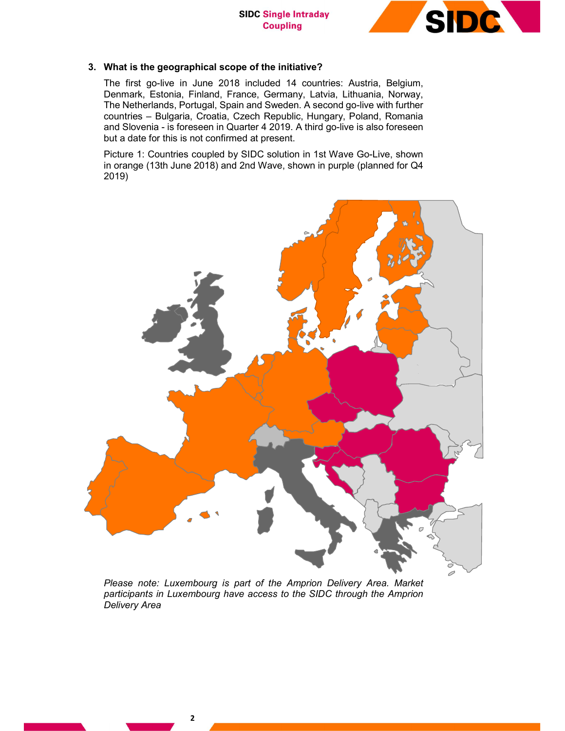

# 3. What is the geographical scope of the initiative?

The first go-live in June 2018 included 14 countries: Austria, Belgium, Denmark, Estonia, Finland, France, Germany, Latvia, Lithuania, Norway, The Netherlands, Portugal, Spain and Sweden. A second go-live with further countries – Bulgaria, Croatia, Czech Republic, Hungary, Poland, Romania and Slovenia - is foreseen in Quarter 4 2019. A third go-live is also foreseen but a date for this is not confirmed at present.

Picture 1: Countries coupled by SIDC solution in 1st Wave Go-Live, shown in orange (13th June 2018) and 2nd Wave, shown in purple (planned for Q4 2019)



Please note: Luxembourg is part of the Amprion Delivery Area. Market participants in Luxembourg have access to the SIDC through the Amprion Delivery Area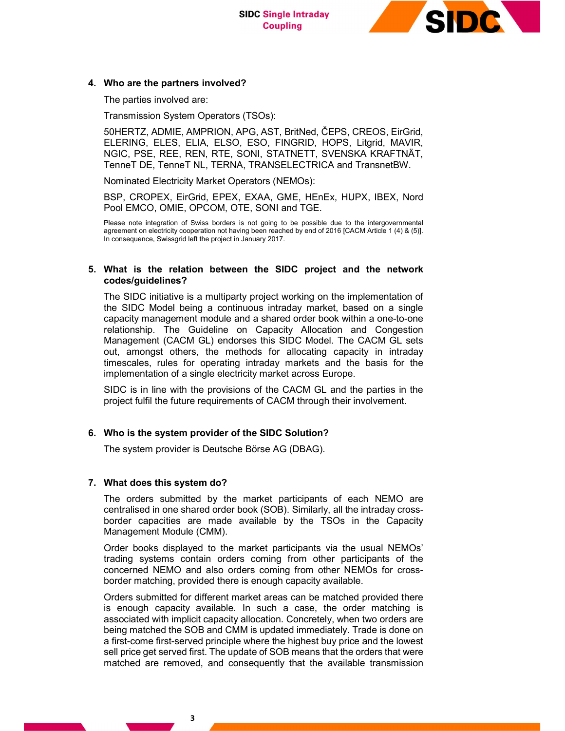**SIDC Single Intraday Coupling** 



### 4. Who are the partners involved?

The parties involved are:

Transmission System Operators (TSOs):

50HERTZ, ADMIE, AMPRION, APG, AST, BritNed, ČEPS, CREOS, EirGrid, ELERING, ELES, ELIA, ELSO, ESO, FINGRID, HOPS, Litgrid, MAVIR, NGIC, PSE, REE, REN, RTE, SONI, STATNETT, SVENSKA KRAFTNÄT, TenneT DE, TenneT NL, TERNA, TRANSELECTRICA and TransnetBW.

Nominated Electricity Market Operators (NEMOs):

BSP, CROPEX, EirGrid, EPEX, EXAA, GME, HEnEx, HUPX, IBEX, Nord Pool EMCO, OMIE, OPCOM, OTE, SONI and TGE.

Please note integration of Swiss borders is not going to be possible due to the intergovernmental agreement on electricity cooperation not having been reached by end of 2016 [CACM Article 1 (4) & (5)]. In consequence, Swissgrid left the project in January 2017.

# 5. What is the relation between the SIDC project and the network codes/guidelines?

The SIDC initiative is a multiparty project working on the implementation of the SIDC Model being a continuous intraday market, based on a single capacity management module and a shared order book within a one-to-one relationship. The Guideline on Capacity Allocation and Congestion Management (CACM GL) endorses this SIDC Model. The CACM GL sets out, amongst others, the methods for allocating capacity in intraday timescales, rules for operating intraday markets and the basis for the implementation of a single electricity market across Europe.

SIDC is in line with the provisions of the CACM GL and the parties in the project fulfil the future requirements of CACM through their involvement.

# 6. Who is the system provider of the SIDC Solution?

The system provider is Deutsche Börse AG (DBAG).

# 7. What does this system do?

The orders submitted by the market participants of each NEMO are centralised in one shared order book (SOB). Similarly, all the intraday crossborder capacities are made available by the TSOs in the Capacity Management Module (CMM).

Order books displayed to the market participants via the usual NEMOs' trading systems contain orders coming from other participants of the concerned NEMO and also orders coming from other NEMOs for crossborder matching, provided there is enough capacity available.

Orders submitted for different market areas can be matched provided there is enough capacity available. In such a case, the order matching is associated with implicit capacity allocation. Concretely, when two orders are being matched the SOB and CMM is updated immediately. Trade is done on a first-come first-served principle where the highest buy price and the lowest sell price get served first. The update of SOB means that the orders that were matched are removed, and consequently that the available transmission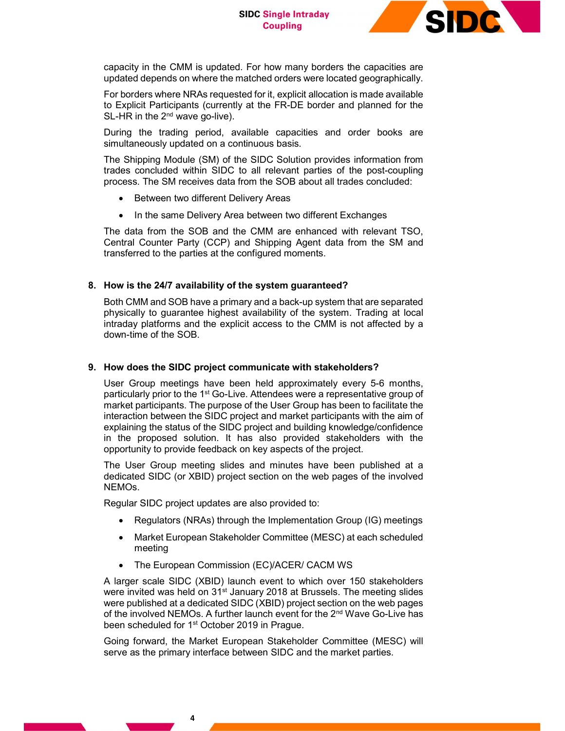

capacity in the CMM is updated. For how many borders the capacities are updated depends on where the matched orders were located geographically.

For borders where NRAs requested for it, explicit allocation is made available to Explicit Participants (currently at the FR-DE border and planned for the  $SL$ -HR in the  $2<sup>nd</sup>$  wave go-live).

During the trading period, available capacities and order books are simultaneously updated on a continuous basis.

The Shipping Module (SM) of the SIDC Solution provides information from trades concluded within SIDC to all relevant parties of the post-coupling process. The SM receives data from the SOB about all trades concluded:

- Between two different Delivery Areas
- In the same Delivery Area between two different Exchanges

The data from the SOB and the CMM are enhanced with relevant TSO, Central Counter Party (CCP) and Shipping Agent data from the SM and transferred to the parties at the configured moments.

# 8. How is the 24/7 availability of the system guaranteed?

Both CMM and SOB have a primary and a back-up system that are separated physically to guarantee highest availability of the system. Trading at local intraday platforms and the explicit access to the CMM is not affected by a down-time of the SOB.

# 9. How does the SIDC project communicate with stakeholders?

User Group meetings have been held approximately every 5-6 months, particularly prior to the 1<sup>st</sup> Go-Live. Attendees were a representative group of market participants. The purpose of the User Group has been to facilitate the interaction between the SIDC project and market participants with the aim of explaining the status of the SIDC project and building knowledge/confidence in the proposed solution. It has also provided stakeholders with the opportunity to provide feedback on key aspects of the project.

The User Group meeting slides and minutes have been published at a dedicated SIDC (or XBID) project section on the web pages of the involved NEMOs.

Regular SIDC project updates are also provided to:

- Regulators (NRAs) through the Implementation Group (IG) meetings
- Market European Stakeholder Committee (MESC) at each scheduled meeting
- The European Commission (EC)/ACER/ CACM WS

A larger scale SIDC (XBID) launch event to which over 150 stakeholders were invited was held on 31<sup>st</sup> January 2018 at Brussels. The meeting slides were published at a dedicated SIDC (XBID) project section on the web pages of the involved NEMOs. A further launch event for the 2<sup>nd</sup> Wave Go-Live has been scheduled for 1<sup>st</sup> October 2019 in Prague.

Going forward, the Market European Stakeholder Committee (MESC) will serve as the primary interface between SIDC and the market parties.

4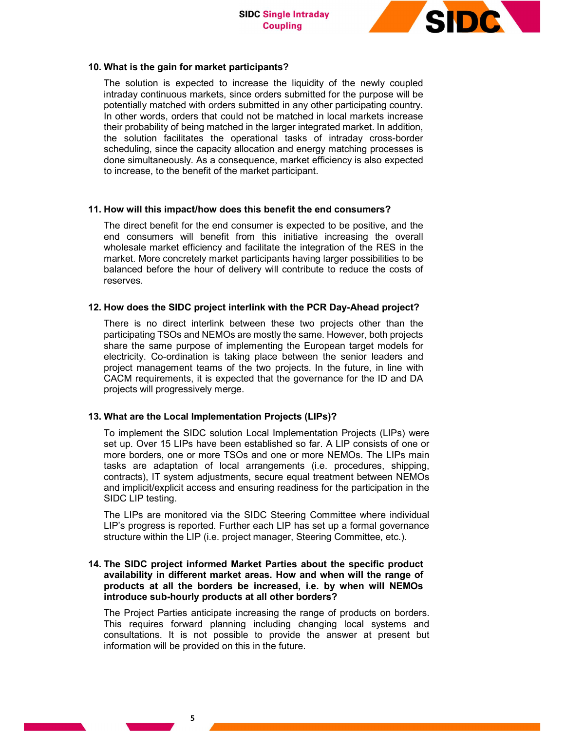

# 10. What is the gain for market participants?

The solution is expected to increase the liquidity of the newly coupled intraday continuous markets, since orders submitted for the purpose will be potentially matched with orders submitted in any other participating country. In other words, orders that could not be matched in local markets increase their probability of being matched in the larger integrated market. In addition, the solution facilitates the operational tasks of intraday cross-border scheduling, since the capacity allocation and energy matching processes is done simultaneously. As a consequence, market efficiency is also expected to increase, to the benefit of the market participant.

# 11. How will this impact/how does this benefit the end consumers?

The direct benefit for the end consumer is expected to be positive, and the end consumers will benefit from this initiative increasing the overall wholesale market efficiency and facilitate the integration of the RES in the market. More concretely market participants having larger possibilities to be balanced before the hour of delivery will contribute to reduce the costs of reserves.

# 12. How does the SIDC project interlink with the PCR Day-Ahead project?

There is no direct interlink between these two projects other than the participating TSOs and NEMOs are mostly the same. However, both projects share the same purpose of implementing the European target models for electricity. Co-ordination is taking place between the senior leaders and project management teams of the two projects. In the future, in line with CACM requirements, it is expected that the governance for the ID and DA projects will progressively merge.

# 13. What are the Local Implementation Projects (LIPs)?

To implement the SIDC solution Local Implementation Projects (LIPs) were set up. Over 15 LIPs have been established so far. A LIP consists of one or more borders, one or more TSOs and one or more NEMOs. The LIPs main tasks are adaptation of local arrangements (i.e. procedures, shipping, contracts), IT system adjustments, secure equal treatment between NEMOs and implicit/explicit access and ensuring readiness for the participation in the SIDC LIP testing.

The LIPs are monitored via the SIDC Steering Committee where individual LIP's progress is reported. Further each LIP has set up a formal governance structure within the LIP (i.e. project manager, Steering Committee, etc.).

# 14. The SIDC project informed Market Parties about the specific product availability in different market areas. How and when will the range of products at all the borders be increased, i.e. by when will NEMOs introduce sub-hourly products at all other borders?

The Project Parties anticipate increasing the range of products on borders. This requires forward planning including changing local systems and consultations. It is not possible to provide the answer at present but information will be provided on this in the future.

5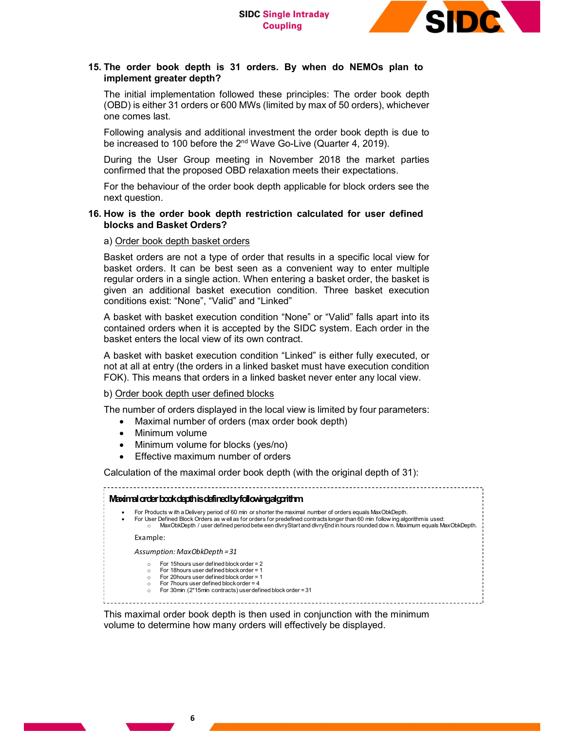

# 15. The order book depth is 31 orders. By when do NEMOs plan to implement greater depth?

The initial implementation followed these principles: The order book depth (OBD) is either 31 orders or 600 MWs (limited by max of 50 orders), whichever one comes last.

Following analysis and additional investment the order book depth is due to be increased to 100 before the 2nd Wave Go-Live (Quarter 4, 2019).

During the User Group meeting in November 2018 the market parties confirmed that the proposed OBD relaxation meets their expectations.

For the behaviour of the order book depth applicable for block orders see the next question.

# 16. How is the order book depth restriction calculated for user defined blocks and Basket Orders?

# a) Order book depth basket orders

Basket orders are not a type of order that results in a specific local view for basket orders. It can be best seen as a convenient way to enter multiple regular orders in a single action. When entering a basket order, the basket is given an additional basket execution condition. Three basket execution conditions exist: "None", "Valid" and "Linked"

# b) Order book depth user defined blocks

- Maximal number of orders (max order book depth)
	- Minimum volume
- Minimum volume for blocks (yes/no)
- Effective maximum number of orders

| Maximal number of orders (max order book depth)<br>Minimum volume<br>Minimum volume for blocks (yes/no)<br>Effective maximum number of orders<br>Calculation of the maximal order book depth (with the original depth of 31):<br>Maximal order book depth is defined by following algorithm<br>For Products with a Delivery period of 60 min or shorter the maximal number of orders equals MaxObkDepth.<br>For User Defined Block Orders as well as for orders for predefined contracts longer than 60 min follow ing algorithmis used:<br>MaxObkDepth / user defined period betw een divryStart and divryEnd in hours rounded down. Maximum equals MaxObkDepth.<br>$\circ$<br>Example:<br>Assumption: MaxObkDepth = 31<br>For 15 hours user defined block order = 2<br>$\circ$<br>For 18 hours user defined block order = 1<br>For 20 hours user defined block order $= 1$<br>$\circ$<br>For 7 hours user defined block order = $4$<br>$\circ$<br>For 30 $min$ (2*15 $min$ contracts) user defined block order = 31 | $\mu$ asket orders. It can be best seen as a convenient way to enter multiple<br>regular orders in a single action. When entering a basket order, the basket is<br>given an additional basket execution condition. Three basket execution<br>conditions exist: "None", "Valid" and "Linked" |  |
|-----------------------------------------------------------------------------------------------------------------------------------------------------------------------------------------------------------------------------------------------------------------------------------------------------------------------------------------------------------------------------------------------------------------------------------------------------------------------------------------------------------------------------------------------------------------------------------------------------------------------------------------------------------------------------------------------------------------------------------------------------------------------------------------------------------------------------------------------------------------------------------------------------------------------------------------------------------------------------------------------------------------------|---------------------------------------------------------------------------------------------------------------------------------------------------------------------------------------------------------------------------------------------------------------------------------------------|--|
|                                                                                                                                                                                                                                                                                                                                                                                                                                                                                                                                                                                                                                                                                                                                                                                                                                                                                                                                                                                                                       | A basket with basket execution condition "None" or "Valid" falls apart into its<br>contained orders when it is accepted by the SIDC system. Each order in the<br>basket enters the local view of its own contract.                                                                          |  |
|                                                                                                                                                                                                                                                                                                                                                                                                                                                                                                                                                                                                                                                                                                                                                                                                                                                                                                                                                                                                                       | A basket with basket execution condition "Linked" is either fully executed, or<br>not at all at entry (the orders in a linked basket must have execution condition<br>FOK). This means that orders in a linked basket never enter any local view.                                           |  |
|                                                                                                                                                                                                                                                                                                                                                                                                                                                                                                                                                                                                                                                                                                                                                                                                                                                                                                                                                                                                                       | b) Order book depth user defined blocks                                                                                                                                                                                                                                                     |  |
|                                                                                                                                                                                                                                                                                                                                                                                                                                                                                                                                                                                                                                                                                                                                                                                                                                                                                                                                                                                                                       | The number of orders displayed in the local view is limited by four parameters:                                                                                                                                                                                                             |  |
|                                                                                                                                                                                                                                                                                                                                                                                                                                                                                                                                                                                                                                                                                                                                                                                                                                                                                                                                                                                                                       |                                                                                                                                                                                                                                                                                             |  |
|                                                                                                                                                                                                                                                                                                                                                                                                                                                                                                                                                                                                                                                                                                                                                                                                                                                                                                                                                                                                                       |                                                                                                                                                                                                                                                                                             |  |
|                                                                                                                                                                                                                                                                                                                                                                                                                                                                                                                                                                                                                                                                                                                                                                                                                                                                                                                                                                                                                       |                                                                                                                                                                                                                                                                                             |  |
|                                                                                                                                                                                                                                                                                                                                                                                                                                                                                                                                                                                                                                                                                                                                                                                                                                                                                                                                                                                                                       |                                                                                                                                                                                                                                                                                             |  |
|                                                                                                                                                                                                                                                                                                                                                                                                                                                                                                                                                                                                                                                                                                                                                                                                                                                                                                                                                                                                                       |                                                                                                                                                                                                                                                                                             |  |

This maximal order book depth is then used in conjunction with the minimum volume to determine how many orders will effectively be displayed.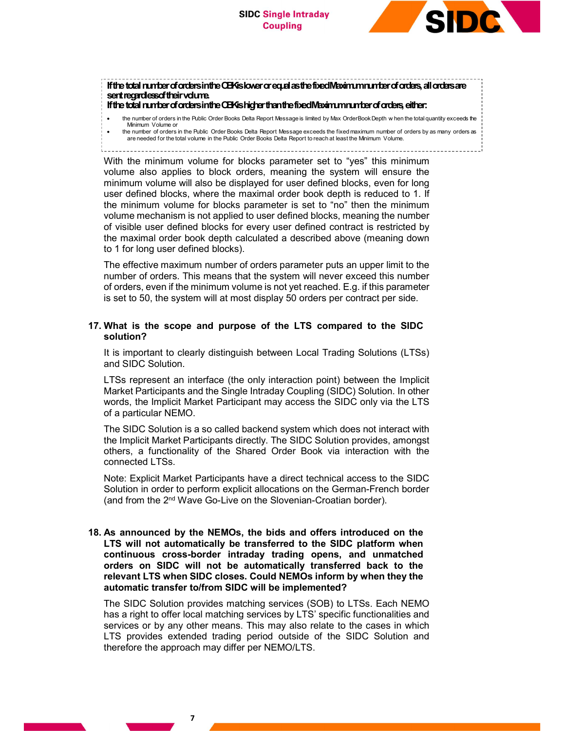

# If the total number of orders in the OBK is lower or equal as the fixed Maximum number of orders, all orders are sent regardless of their volume. If the total number of orders in the OBK is higher than the fixed Maximum number of orders, either: SIDC Single Intraday<br>
fifte total runter of orders initie CEMslower or equile atter fixed Meximum runter of orders, all orders are<br>
eart regardess of their volume is like Delta Report Message is limited by Max Order Socks

- Minimum Volume or
	- the number of orders in the Public Order Books Delta Report Message exceeds the fixed maximum number of orders by as many orders as are needed for the total volume in the Public Order Books Delta Report to reach at least the Minimum Volume.
- 

With the minimum volume for blocks parameter set to "yes" this minimum volume also applies to block orders, meaning the system will ensure the minimum volume will also be displayed for user defined blocks, even for long user defined blocks, where the maximal order book depth is reduced to 1. If the minimum volume for blocks parameter is set to "no" then the minimum volume mechanism is not applied to user defined blocks, meaning the number of visible user defined blocks for every user defined contract is restricted by the maximal order book depth calculated a described above (meaning down to 1 for long user defined blocks).

The effective maximum number of orders parameter puts an upper limit to the number of orders. This means that the system will never exceed this number of orders, even if the minimum volume is not yet reached. E.g. if this parameter is set to 50, the system will at most display 50 orders per contract per side.

# 17. What is the scope and purpose of the LTS compared to the SIDC solution?

It is important to clearly distinguish between Local Trading Solutions (LTSs) and SIDC Solution.

LTSs represent an interface (the only interaction point) between the Implicit Market Participants and the Single Intraday Coupling (SIDC) Solution. In other words, the Implicit Market Participant may access the SIDC only via the LTS of a particular NEMO.

The SIDC Solution is a so called backend system which does not interact with the Implicit Market Participants directly. The SIDC Solution provides, amongst others, a functionality of the Shared Order Book via interaction with the connected LTSs.

Note: Explicit Market Participants have a direct technical access to the SIDC Solution in order to perform explicit allocations on the German-French border (and from the 2nd Wave Go-Live on the Slovenian-Croatian border).

# 18. As announced by the NEMOs, the bids and offers introduced on the LTS will not automatically be transferred to the SIDC platform when continuous cross-border intraday trading opens, and unmatched orders on SIDC will not be automatically transferred back to the relevant LTS when SIDC closes. Could NEMOs inform by when they the automatic transfer to/from SIDC will be implemented?

The SIDC Solution provides matching services (SOB) to LTSs. Each NEMO has a right to offer local matching services by LTS' specific functionalities and services or by any other means. This may also relate to the cases in which LTS provides extended trading period outside of the SIDC Solution and therefore the approach may differ per NEMO/LTS.

7